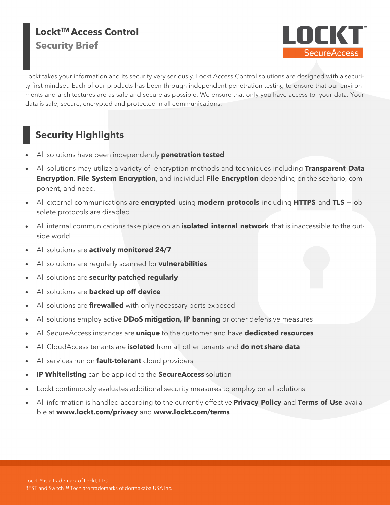### **LocktTM Access Control Security Brief**



Lockt takes your information and its security very seriously. Lockt Access Control solutions are designed with a security first mindset. Each of our products has been through independent penetration testing to ensure that our environments and architectures are as safe and secure as possible. We ensure that only you have access to your data. Your data is safe, secure, encrypted and protected in all communications.

## **Security Highlights**

- All solutions have been independently **penetration tested**
- All solutions may utilize a variety of encryption methods and techniques including **Transparent Data Encryption**, **File System Encryption**, and individual **File Encryption** depending on the scenario, component, and need.
- All external communications are **encrypted** using **modern protocols** including **HTTPS** and **TLS —** obsolete protocols are disabled
- All internal communications take place on an **isolated internal network** that is inaccessible to the outside world
- All solutions are **actively monitored 24/7**
- All solutions are regularly scanned for **vulnerabilities**
- All solutions are **security patched regularly**
- All solutions are **backed up off device**
- All solutions are **firewalled** with only necessary ports exposed
- All solutions employ active **DDoS mitigation, IP banning** or other defensive measures
- All SecureAccess instances are **unique** to the customer and have **dedicated resources**
- All CloudAccess tenants are **isolated** from all other tenants and **do not share data**
- All services run on **fault-tolerant** cloud providers
- **IP Whitelisting** can be applied to the **SecureAccess** solution
- Lockt continuously evaluates additional security measures to employ on all solutions
- All information is handled according to the currently effective **Privacy Policy** and **Terms of Use** available at **www.lockt.com/privacy** and **www.lockt.com/terms**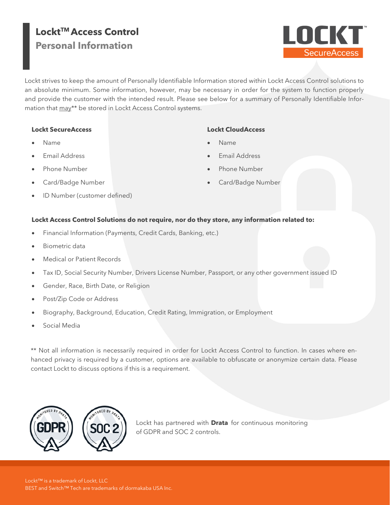### **LocktTM Access Control Personal Information**



Lockt strives to keep the amount of Personally Identifiable Information stored within Lockt Access Control solutions to an absolute minimum. Some information, however, may be necessary in order for the system to function properly and provide the customer with the intended result. Please see below for a summary of Personally Identifiable Information that may\*\* be stored in Lockt Access Control systems.

#### **Lockt SecureAccess**

### **Lockt CloudAccess**

- Name
- Email Address
- Phone Number
- Card/Badge Number
- ID Number (customer defined)
- Name
- Email Address
- Phone Number
- Card/Badge Number

#### **Lockt Access Control Solutions do not require, nor do they store, any information related to:**

- Financial Information (Payments, Credit Cards, Banking, etc.)
- Biometric data
- Medical or Patient Records
- Tax ID, Social Security Number, Drivers License Number, Passport, or any other government issued ID
- Gender, Race, Birth Date, or Religion
- Post/Zip Code or Address
- Biography, Background, Education, Credit Rating, Immigration, or Employment
- Social Media

\*\* Not all information is necessarily required in order for Lockt Access Control to function. In cases where enhanced privacy is required by a customer, options are available to obfuscate or anonymize certain data. Please contact Lockt to discuss options if this is a requirement.



Lockt has partnered with **Drata** for continuous monitoring of GDPR and SOC 2 controls.